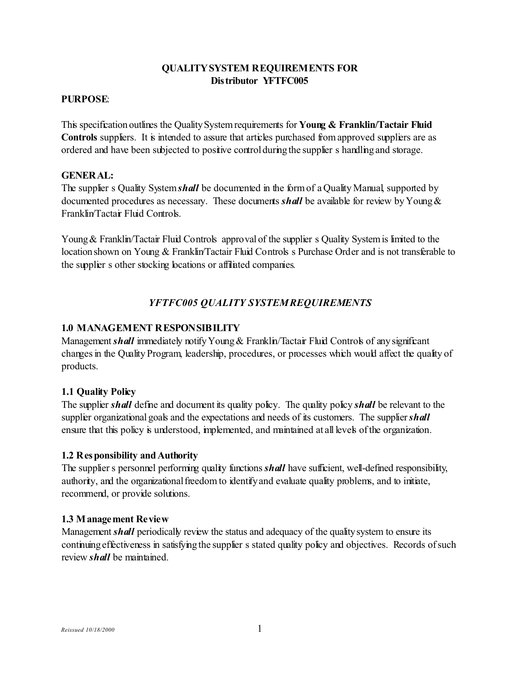#### **PURPOSE**:

This specification outlines the Quality System requirements for **Young & Franklin/Tactair Fluid Controls** suppliers. It is intended to assure that articles purchased from approved suppliers are as ordered and have been subjected to positive control during the supplier s handling and storage.

#### **GENERAL:**

The supplier s Quality System*shall* be documented in the form of a Quality Manual, supported by documented procedures as necessary. These documents *shall* be available for review by Young & Franklin/Tactair Fluid Controls.

Young & Franklin/Tactair Fluid Controls approval of the supplier s Quality System is limited to the location shown on Young & Franklin/Tactair Fluid Controls s Purchase Order and is not transferable to the supplier s other stocking locations or affiliated companies.

# *YFTFC005 QUALITY SYSTEM REQUIREMENTS*

## **1.0 MANAGEMENT RESPONSIBILITY**

Management *shall* immediately notify Young & Franklin/Tactair Fluid Controls of any significant changes in the Quality Program, leadership, procedures, or processes which would affect the quality of products.

## **1.1 Quality Policy**

The supplier *shall* define and document its quality policy. The quality policy *shall* be relevant to the supplier organizational goals and the expectations and needs of its customers. The supplier *shall* ensure that this policy is understood, implemented, and maintained at all levels of the organization.

## **1.2 Responsibility and Authority**

The supplier s personnel performing quality functions *shall* have sufficient, well-defined responsibility, authority, and the organizational freedom to identify and evaluate quality problems, and to initiate, recommend, or provide solutions.

#### **1.3 Management Review**

Management *shall* periodically review the status and adequacy of the quality system to ensure its continuing effectiveness in satisfying the supplier s stated quality policy and objectives. Records of such review *shall* be maintained.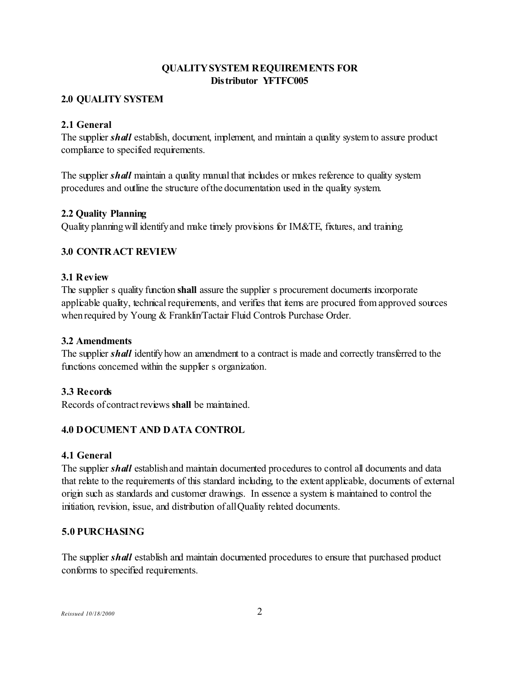## **2.0 QUALITY SYSTEM**

## **2.1 General**

The supplier *shall* establish, document, implement, and maintain a quality system to assure product compliance to specified requirements.

The supplier *shall* maintain a quality manual that includes or makes reference to quality system procedures and outline the structure of the documentation used in the quality system.

#### **2.2 Quality Planning**

Quality planning will identify and make timely provisions for IM&TE, fixtures, and training.

#### **3.0 CONTRACT REVIEW**

#### **3.1 Review**

The supplier s quality function **shall** assure the supplier s procurement documents incorporate applicable quality, technical requirements, and verifies that items are procured from approved sources when required by Young & Franklin/Tactair Fluid Controls Purchase Order.

#### **3.2 Amendments**

The supplier *shall* identify how an amendment to a contract is made and correctly transferred to the functions concerned within the supplier s organization.

## **3.3 Records**

Records of contract reviews **shall** be maintained.

## **4.0 DOCUMENT AND DATA CONTROL**

## **4.1 General**

The supplier *shall* establish and maintain documented procedures to control all documents and data that relate to the requirements of this standard including, to the extent applicable, documents of external origin such as standards and customer drawings. In essence a system is maintained to control the initiation, revision, issue, and distribution of all Quality related documents.

## **5.0 PURCHASING**

The supplier *shall* establish and maintain documented procedures to ensure that purchased product conforms to specified requirements.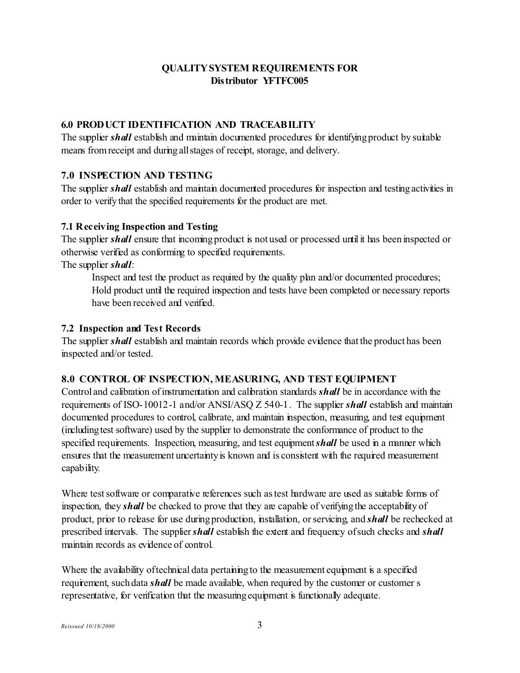# **6.0 PRODUCT IDENTIFICATION AND TRACEABILITY**

The supplier *shall* establish and maintain documented procedures for identifying product by suitable means from receipt and during all stages of receipt, storage, and delivery.

# **7.0 INSPECTION AND TESTING**

The supplier *shall* establish and maintain documented procedures for inspection and testing activities in order to verify that the specified requirements for the product are met.

## **7.1 Receiving Inspection and Testing**

The supplier *shall* ensure that incoming product is not used or processed until it has been inspected or otherwise verified as conforming to specified requirements.

The supplier *shall*:

Inspect and test the product as required by the quality plan and/or documented procedures; " Hold product until the required inspection and tests have been completed or necessary reports have been received and verified.

## **7.2 Inspection and Test Records**

The supplier *shall* establish and maintain records which provide evidence that the product has been inspected and/or tested.

## **8.0 CONTROL OF INSPECTION, MEASURING, AND TEST EQUIPMENT**

Control and calibration of instrumentation and calibration standards *shall* be in accordance with the requirements of ISO-10012-1 and/or ANSI/ASQ Z 540-1. The supplier *shall* establish and maintain documented procedures to control, calibrate, and maintain inspection, measuring, and test equipment (including test software) used by the supplier to demonstrate the conformance of product to the specified requirements. Inspection, measuring, and test equipment *shall* be used in a manner which ensures that the measurement uncertainty is known and is consistent with the required measurement capability.

Where test software or comparative references such as test hardware are used as suitable forms of inspection, they *shall* be checked to prove that they are capable of verifying the acceptability of product, prior to release for use during production, installation, or servicing, and *shall* be rechecked at prescribed intervals. The supplier *shall* establish the extent and frequency of such checks and *shall* maintain records as evidence of control.

Where the availability of technical data pertaining to the measurement equipment is a specified requirement, such data *shall* be made available, when required by the customer or customer s representative, for verification that the measuring equipment is functionally adequate.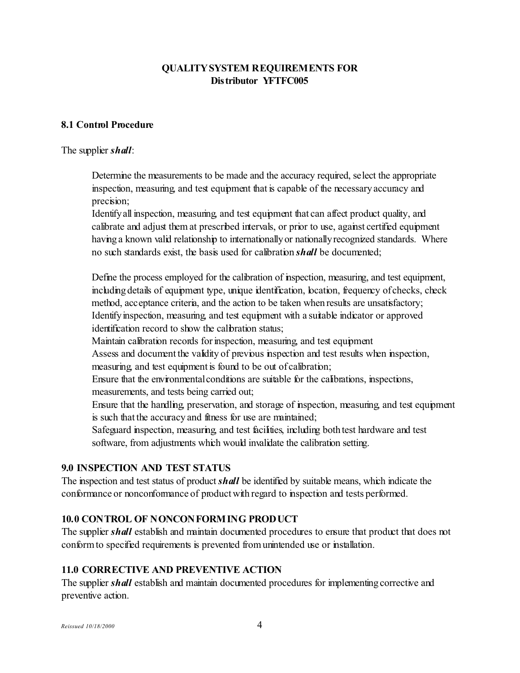#### **8.1 Control Procedure**

#### The supplier *shall*:

Determine the measurements to be made and the accuracy required, select the appropriate inspection, measuring, and test equipment that is capable of the necessary accuracy and precision;

Identify all inspection, measuring, and test equipment that can affect product quality, and calibrate and adjust them at prescribed intervals, or prior to use, against certified equipment having a known valid relationship to internationally or nationally recognized standards. Where no such standards exist, the basis used for calibration *shall* be documented;

Define the process employed for the calibration of inspection, measuring, and test equipment, including details of equipment type, unique identification, location, frequency of checks, check method, acceptance criteria, and the action to be taken when results are unsatisfactory; Identify inspection, measuring, and test equipment with a suitable indicator or approved identification record to show the calibration status;

Maintain calibration records for inspection, measuring, and test equipment

Assess and document the validity of previous inspection and test results when inspection, measuring, and test equipment is found to be out of calibration;

Ensure that the environmental conditions are suitable for the calibrations, inspections, measurements, and tests being carried out;

Ensure that the handling, preservation, and storage of inspection, measuring, and test equipment is such that the accuracy and fitness for use are maintained;

Safeguard inspection, measuring, and test facilities, including both test hardware and test software, from adjustments which would invalidate the calibration setting.

#### **9.0 INSPECTION AND TEST STATUS**

The inspection and test status of product **shall** be identified by suitable means, which indicate the conformance or nonconformance of product with regard to inspection and tests performed.

#### **10.0 CONTROL OF NONCONFORMING PRODUCT**

The supplier *shall* establish and maintain documented procedures to ensure that product that does not conform to specified requirements is prevented from unintended use or installation.

#### **11.0 CORRECTIVE AND PREVENTIVE ACTION**

The supplier *shall* establish and maintain documented procedures for implementing corrective and preventive action.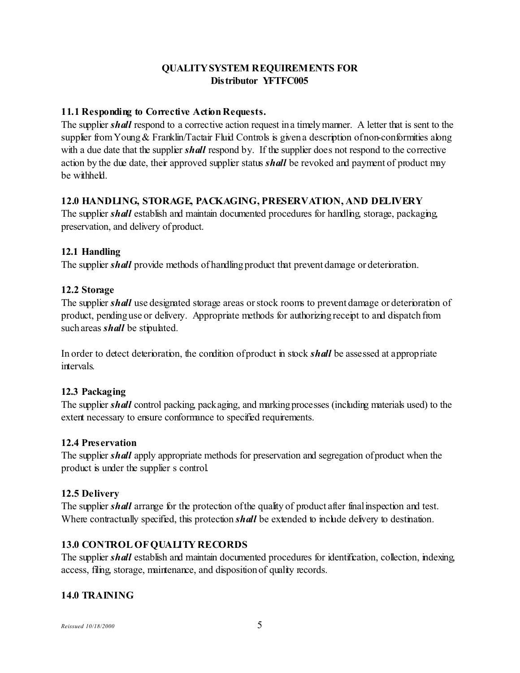#### **11.1 Responding to Corrective Action Requests.**

The supplier *shall* respond to a corrective action request in a timely manner. A letter that is sent to the supplier from Young  $&$  Franklin/Tactair Fluid Controls is given a description of non-conformities along with a due date that the supplier *shall* respond by. If the supplier does not respond to the corrective action by the due date, their approved supplier status *shall* be revoked and payment of product may be withheld.

#### **12.0 HANDLING, STORAGE, PACKAGING, PRESERVATION, AND DELIVERY**

The supplier *shall* establish and maintain documented procedures for handling, storage, packaging, preservation, and delivery of product.

## **12.1 Handling**

The supplier *shall* provide methods of handling product that prevent damage or deterioration.

#### **12.2 Storage**

The supplier *shall* use designated storage areas or stock rooms to prevent damage or deterioration of product, pending use or delivery. Appropriate methods for authorizing receipt to and dispatch from such areas *shall* be stipulated.

In order to detect deterioration, the condition of product in stock *shall* be assessed at appropriate intervals.

## **12.3 Packaging**

The supplier *shall* control packing, packaging, and marking processes (including materials used) to the extent necessary to ensure conformance to specified requirements.

#### **12.4 Preservation**

The supplier *shall* apply appropriate methods for preservation and segregation of product when the product is under the supplier s control.

#### **12.5 Delivery**

The supplier *shall* arrange for the protection of the quality of product after final inspection and test. Where contractually specified, this protection *shall* be extended to include delivery to destination.

## **13.0 CONTROL OF QUALITY RECORDS**

The supplier *shall* establish and maintain documented procedures for identification, collection, indexing, access, filing, storage, maintenance, and disposition of quality records.

## **14.0 TRAINING**